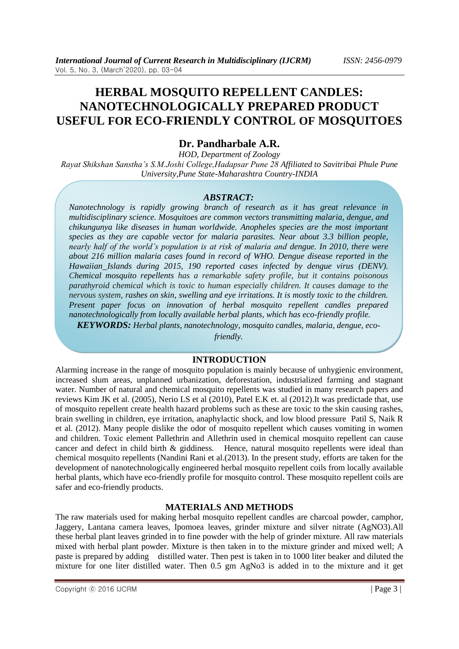# **HERBAL MOSQUITO REPELLENT CANDLES: NANOTECHNOLOGICALLY PREPARED PRODUCT USEFUL FOR ECO-FRIENDLY CONTROL OF MOSQUITOES**

# **Dr. Pandharbale A.R.**

*HOD, Department of Zoology Rayat Shikshan Sanstha's S.M.Joshi College,Hadapsar Pune 28 Affiliated to Savitribai Phule Pune University,Pune State-Maharashtra Country-INDIA*

#### *ABSTRACT:*

*Nanotechnology is rapidly growing branch of research as it has great relevance in multidisciplinary science. Mosquitoes are common vectors transmitting malaria, dengue, and chikungunya like diseases in human worldwide. Anopheles species are the most important species as they are capable vector for malaria parasites. Near about 3.3 billion people, nearly half of the world's population is at risk of malaria and dengue. In 2010, there were about 216 million malaria cases found in record of WHO. Dengue disease reported in the [Hawaiian](https://en.wikipedia.org/wiki/Hawaii) Islands during 2015, 190 reported cases infected by dengue virus (DENV). Chemical mosquito repellents has a remarkable safety profile, but it contains poisonous parathyroid chemical which is toxic to human especially children. It causes damage to the nervous system, rashes on skin, swelling and eye irritations. It is mostly toxic to the children. Present paper focus on innovation of herbal mosquito repellent candles prepared nanotechnologically from locally available herbal plants, which has eco-friendly profile.* 

*KEYWORDS: Herbal plants, nanotechnology, mosquito candles, malaria, dengue, eco-*

*friendly.*

#### **INTRODUCTION**

Alarming increase in the range of mosquito population is mainly because of unhygienic environment, increased slum areas, unplanned urbanization, deforestation, industrialized farming and stagnant water. Number of natural and chemical mosquito repellents was studied in many research papers and reviews Kim JK et al. (2005), Nerio LS et al (2010), Patel E.K et. al (2012).It was predictade that, use of mosquito repellent create health hazard problems such as these are toxic to the skin causing rashes, brain swelling in children, eye irritation, anaphylactic shock, and low blood pressure Patil S, Naik R et al. (2012). Many people dislike the odor of mosquito repellent which causes vomiting in women and children. Toxic element Pallethrin and Allethrin used in chemical mosquito repellent can cause cancer and defect in child birth & giddiness. Hence, natural mosquito repellents were ideal than chemical mosquito repellents (Nandini Rani et al.(2013). In the present study, efforts are taken for the development of nanotechnologically engineered herbal mosquito repellent coils from locally available herbal plants, which have eco-friendly profile for mosquito control. These mosquito repellent coils are safer and eco-friendly products.

#### **MATERIALS AND METHODS**

The raw materials used for making herbal mosquito repellent candles are charcoal powder, camphor, Jaggery, Lantana camera leaves, Ipomoea leaves, grinder mixture and silver nitrate (AgNO3).All these herbal plant leaves grinded in to fine powder with the help of grinder mixture. All raw materials mixed with herbal plant powder. Mixture is then taken in to the mixture grinder and mixed well; A paste is prepared by adding distilled water. Then pest is taken in to 1000 liter beaker and diluted the mixture for one liter distilled water. Then 0.5 gm AgNo3 is added in to the mixture and it get